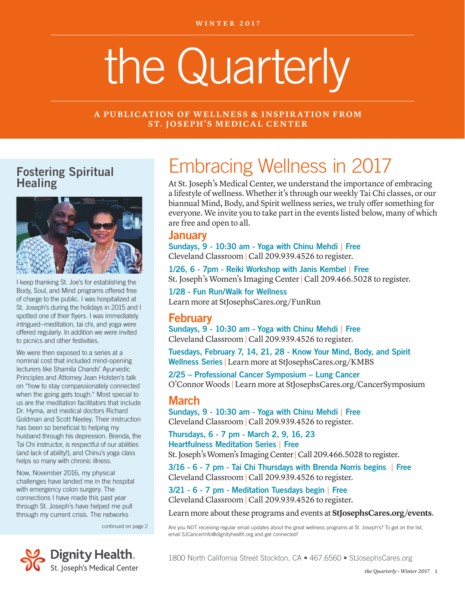# the Quarterly

**A PUBLICATION OF WELLNESS & INSPIRATION FROM ST. JOSEPH'S MEDICAL CENTER** 

#### Fostering Spiritual **Healing**



I keep thanking St. Joe's for establishing the Body, Soul, and Mind programs offered free of charge to the public. I was hospitalized at St. Joseph's during the holidays in 2015 and I spotted one of their flyers. I was immediately intrigued–meditation, tai chi, and yoga were offered regularly. In addition we were invited to picnics and other festivities.

We were then exposed to a series at a nominal cost that included mind-opening lecturers like Shamila Chands' Ayurvedic Principles and Attorney Jean Holsten's talk on "how to stay compassionately connected when the going gets tough." Most special to us are the meditation facilitators that include Dr. Hyma, and medical doctors Richard Goldman and Scott Neeley. Their instruction has been so beneficial to helping my husband through his depression. Brenda, the Tai Chi instructor, is respectful of our abilities (and lack of ability!), and Chinu's yoga class helps so many with chronic illness.

Now, November 2016, my physical challenges have landed me in the hospital with emergency colon surgery. The connections I have made this past year through St. Joseph's have helped me pull through my current crisis. The networks

continued on page 2



# Embracing Wellness in 2017

At St. Joseph's Medical Center, we understand the importance of embracing a lifestyle of wellness. Whether it's through our weekly Tai Chi classes, or our biannual Mind, Body, and Spirit wellness series, we truly offer something for everyone. We invite you to take part in the events listed below, many of which are free and open to all.

#### January

Sundays, 9 - 10:30 am - Yoga with Chinu Mehdi | Free Cleveland Classroom | Call 209.939.4526 to register.

1/26, 6 - 7pm - Reiki Workshop with Janis Kembel | Free St. Joseph's Women's Imaging Center | Call 209.466.5028 to register.

1/28 - Fun Run/Walk for Wellness Learn more at StJosephsCares.org/FunRun

#### February

Sundays, 9 - 10:30 am - Yoga with Chinu Mehdi | Free Cleveland Classroom | Call 209.939.4526 to register.

Tuesdays, February 7, 14, 21, 28 - Know Your Mind, Body, and Spirit Wellness Series | Learn more at StJosephsCares.org/KMBS

2/25 – Professional Cancer Symposium – Lung Cancer O'Connor Woods | Learn more at StJosephsCares.org/CancerSymposium

#### March

Sundays, 9 - 10:30 am - Yoga with Chinu Mehdi | Free Cleveland Classroom | Call 209.939.4526 to register.

Thursdays, 6 - 7 pm - March 2, 9, 16, 23 Heartfulness Meditation Series | Free St. Joseph's Women's Imaging Center | Call 209.466.5028 to register.

3/16 - 6 - 7 pm - Tai Chi Thursdays with Brenda Norris begins | Free Cleveland Classroom | Call 209.939.4526 to register.

3/21 - 6 - 7 pm - Meditation Tuesdays begin | Free Cleveland Classroom | Call 209.939.4526 to register.

Learn more about these programs and events at **StJosephsCares.org/events**.

Are you NOT receiving regular email updates about the great wellness programs at St. Joseph's? To get on the list, email SJCancerInfo@dignityhealth.org and get connected!

1800 North California Street Stockton, CA • 467.6560 • StJosephsCares.org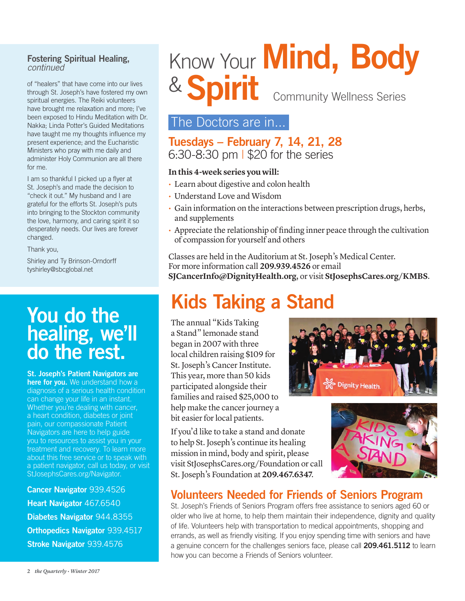#### Fostering Spiritual Healing, *continued*

of "healers" that have come into our lives through St. Joseph's have fostered my own spiritual energies. The Reiki volunteers have brought me relaxation and more; I've been exposed to Hindu Meditation with Dr. Nakka; Linda Potter's Guided Meditations have taught me my thoughts influence my present experience; and the Eucharistic Ministers who pray with me daily and administer Holy Communion are all there for me.

I am so thankful I picked up a flyer at St. Joseph's and made the decision to "check it out." My husband and I are grateful for the efforts St. Joseph's puts into bringing to the Stockton community the love, harmony, and caring spirit it so desperately needs. Our lives are forever changed.

Thank you,

Shirley and Ty Brinson-Orndorff tyshirley@sbcglobal.net

# You do the healing, we'll do the rest.

St. Joseph's Patient Navigators are here for you. We understand how a diagnosis of a serious health condition can change your life in an instant. Whether you're dealing with cancer, a heart condition, diabetes or joint pain, our compassionate Patient Navigators are here to help guide you to resources to assist you in your treatment and recovery. To learn more about this free service or to speak with a patient navigator, call us today, or visit StJosephsCares.org/Navigator.

Cancer Navigator 939.4526 Heart Navigator 467.6540 Diabetes Navigator 944.8355 Orthopedics Navigator 939.4517 Stroke Navigator 939.4576

# Know Your **Mind, Body** & Spirit Community Wellness Series

#### The Doctors are in...

#### Tuesdays – February 7, 14, 21, 28 6:30-8:30 pm | \$20 for the series

#### **In this 4-week series you will:**

- Learn about digestive and colon health
- Understand Love and Wisdom
- Gain information on the interactions between prescription drugs, herbs, and supplements
- Appreciate the relationship of finding inner peace through the cultivation of compassion for yourself and others

Classes are held in the Auditorium at St. Joseph's Medical Center. For more information call **209.939.4526** or email **SJCancerInfo@DignityHealth.org**, or visit **StJosephsCares.org/KMBS**.

# Kids Taking a Stand

The annual "Kids Taking a Stand" lemonade stand began in 2007 with three local children raising \$109 for St. Joseph's Cancer Institute. This year, more than 50 kids participated alongside their families and raised \$25,000 to help make the cancer journey a bit easier for local patients.

If you'd like to take a stand and donate to help St. Joseph's continue its healing mission in mind, body and spirit, please visit StJosephsCares.org/Foundation or call St. Joseph's Foundation at **209.467.6347**.





#### Volunteers Needed for Friends of Seniors Program

St. Joseph's Friends of Seniors Program offers free assistance to seniors aged 60 or older who live at home, to help them maintain their independence, dignity and quality of life. Volunteers help with transportation to medical appointments, shopping and errands, as well as friendly visiting. If you enjoy spending time with seniors and have a genuine concern for the challenges seniors face, please call 209.461.5112 to learn how you can become a Friends of Seniors volunteer.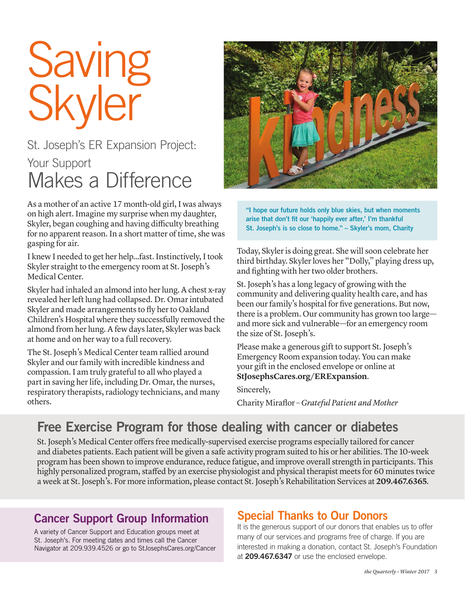# Saving Skyler

## St. Joseph's ER Expansion Project: Your Support Makes a Difference

As a mother of an active 17 month-old girl, I was always on high alert. Imagine my surprise when my daughter, Skyler, began coughing and having difficulty breathing for no apparent reason. In a short matter of time, she was gasping for air.

I knew I needed to get her help…fast. Instinctively, I took Skyler straight to the emergency room at St. Joseph's Medical Center.

Skyler had inhaled an almond into her lung. A chest x-ray revealed her left lung had collapsed. Dr. Omar intubated Skyler and made arrangements to fly her to Oakland Children's Hospital where they successfully removed the almond from her lung. A few days later, Skyler was back at home and on her way to a full recovery.

The St. Joseph's Medical Center team rallied around Skyler and our family with incredible kindness and compassion. I am truly grateful to all who played a part in saving her life, including Dr. Omar, the nurses, respiratory therapists, radiology technicians, and many others.



"I hope our future holds only blue skies, but when moments arise that don't fit our 'happily ever after,' I'm thankful St. Joseph's is so close to home." – Skyler's mom, Charity

Today, Skyler is doing great. She will soon celebrate her third birthday. Skyler loves her "Dolly," playing dress up, and fighting with her two older brothers.

St. Joseph's has a long legacy of growing with the community and delivering quality health care, and has been our family's hospital for five generations. But now, there is a problem. Our community has grown too large and more sick and vulnerable—for an emergency room the size of St. Joseph's.

Please make a generous gift to support St. Joseph's Emergency Room expansion today. You can make your gift in the enclosed envelope or online at **StJosephsCares.org/ERExpansion**.

Sincerely,

Charity Miraflor – *Grateful Patient and Mother*

### Free Exercise Program for those dealing with cancer or diabetes

St. Joseph's Medical Center offers free medically-supervised exercise programs especially tailored for cancer and diabetes patients. Each patient will be given a safe activity program suited to his or her abilities. The 10-week program has been shown to improve endurance, reduce fatigue, and improve overall strength in participants. This highly personalized program, staffed by an exercise physiologist and physical therapist meets for 60 minutes twice a week at St. Joseph's. For more information, please contact St. Joseph's Rehabilitation Services at **209.467.6365**.

#### Cancer Support Group Information

A variety of Cancer Support and Education groups meet at St. Joseph's. For meeting dates and times call the Cancer Navigator at 209.939.4526 or go to StJosephsCares.org/Cancer

#### Special Thanks to Our Donors

It is the generous support of our donors that enables us to offer many of our services and programs free of charge. If you are interested in making a donation, contact St. Joseph's Foundation at 209.467.6347 or use the enclosed envelope.